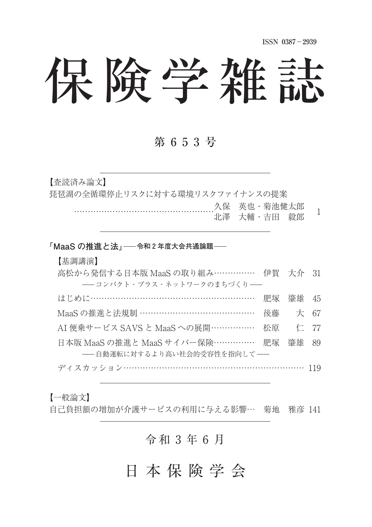**ISSN 0387**-**2939**

# 保険学雑誌

## 第 6 5 3 号

【査読済み論文】

琵琶湖の全循環停止リスクに対する環境リスクファイナンスの提案

 久保 英也・菊池健太郎 スポースと 3,3に反対第一 1<br>北澤 大輔・吉田 毅郎

#### 「MaaS の推進と法」––令和2年度大会共通論題––

#### 【基調講演】

| 高松から発信する日本版 MaaS の取り組み…………… 伊賀 大介 31    |  |  |
|-----------------------------------------|--|--|
| - コンパクト・プラス・ネットワークのまちづくり -              |  |  |
| はじめに………………………………………………… 肥塚 肇雄 45        |  |  |
| MaaS の推進と法規制 ……………………………………… 後藤 大 67    |  |  |
| AI 便乗サービス SAVS と MaaS への展開…………… 松原 仁 77 |  |  |
| 日本版 MaaS の推進と MaaS サイバー保険…………… 肥塚 肇雄 89 |  |  |
| ––自動運転に対するより高い社会的受容性を指向して––             |  |  |
| ディスカッション……………………………………………………… 119       |  |  |

#### 【一般論文】

自己負担額の増加が介護サービスの利用に与える影響… 菊地 雅彦 141

## 令 和 ⚓ 年 ⚖ 月

# 日 本 保 険 学 会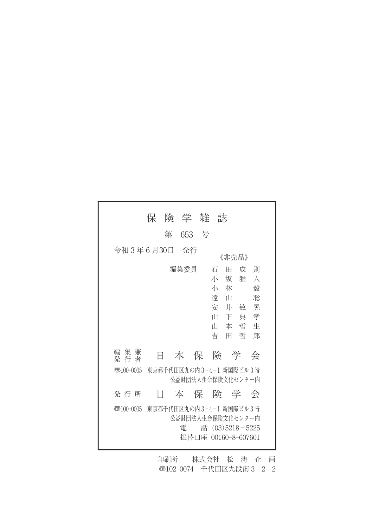|                                                                        | 保 | 険 学 雑 |  | 誌                                                                                          |                                                                     |  |
|------------------------------------------------------------------------|---|-------|--|--------------------------------------------------------------------------------------------|---------------------------------------------------------------------|--|
|                                                                        | 第 | 653 号 |  |                                                                                            |                                                                     |  |
| 令和3年6月30日                                                              |   | - 発行  |  | 《非壳品》                                                                                      |                                                                     |  |
|                                                                        |   | 編集委員  |  | 石<br>Ħ<br>小<br>坂<br>小<br>林<br>遠<br>- ப<br>安<br>井<br>Ш<br>下<br>Ш<br>本<br>吉<br>Ħ             | 成<br>一則<br>雅<br>人<br>毅<br>聡<br>晃<br>敏<br>孝<br>典<br>哲<br>牛<br>哲<br>郎 |  |
| 集兼<br>編<br>発 行 者                                                       | Ħ |       |  | 本保険学                                                                                       | 会                                                                   |  |
| 東京都千代田区丸の内3-4-1 新国際ビル3階<br>$\overline{3}100-0005$<br>公益財団法人生命保険文化センター内 |   |       |  |                                                                                            |                                                                     |  |
| 発行所                                                                    | Ħ |       |  | 本 保 険 学 会                                                                                  |                                                                     |  |
| $\overline{3}100-0005$                                                 |   | 雷     |  | 東京都千代田区丸の内3-4-1 新国際ビル3階<br>公益財団法人生命保険文化センター内<br>話 $(03)5218 - 5225$<br>振替口座 00160-8-607601 |                                                                     |  |

印刷所 株式会社 松 涛 企 画 〠102-0074 千代田区九段南 3 - 2 - 2